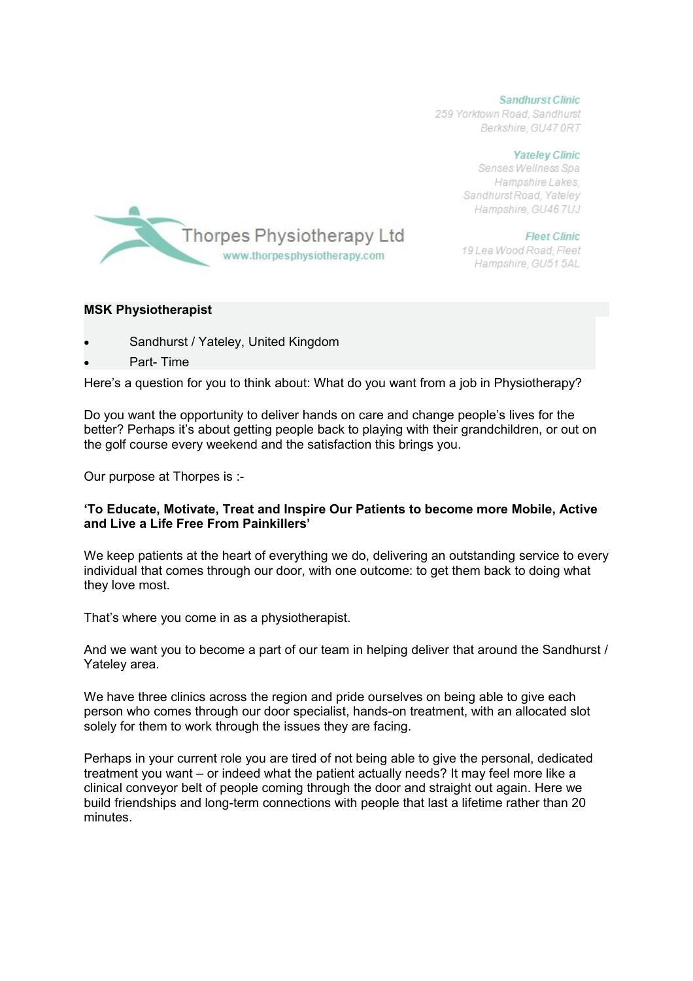**Sandhurst Clinic** 

259 Yorktown Road, Sandhurst Berkshire, GU47 0RT

> **Yateley Clinic** Senses Wellness Spa Hampshire Lakes. Sandhurst Road, Yateley Hampshire, GU46 7UJ



**Fleet Clinic** 19 Lea Wood Road, Fleet Hampshire, GU51 5AL

# **MSK Physiotherapist**

- Sandhurst / Yateley, United Kingdom
- Part- Time

Here's a question for you to think about: What do you want from a job in Physiotherapy?

Do you want the opportunity to deliver hands on care and change people's lives for the better? Perhaps it's about getting people back to playing with their grandchildren, or out on the golf course every weekend and the satisfaction this brings you.

Our purpose at Thorpes is :-

## **'To Educate, Motivate, Treat and Inspire Our Patients to become more Mobile, Active and Live a Life Free From Painkillers'**

We keep patients at the heart of everything we do, delivering an outstanding service to every individual that comes through our door, with one outcome: to get them back to doing what they love most.

That's where you come in as a physiotherapist.

And we want you to become a part of our team in helping deliver that around the Sandhurst / Yateley area.

We have three clinics across the region and pride ourselves on being able to give each person who comes through our door specialist, hands-on treatment, with an allocated slot solely for them to work through the issues they are facing.

Perhaps in your current role you are tired of not being able to give the personal, dedicated treatment you want – or indeed what the patient actually needs? It may feel more like a clinical conveyor belt of people coming through the door and straight out again. Here we build friendships and long-term connections with people that last a lifetime rather than 20 minutes.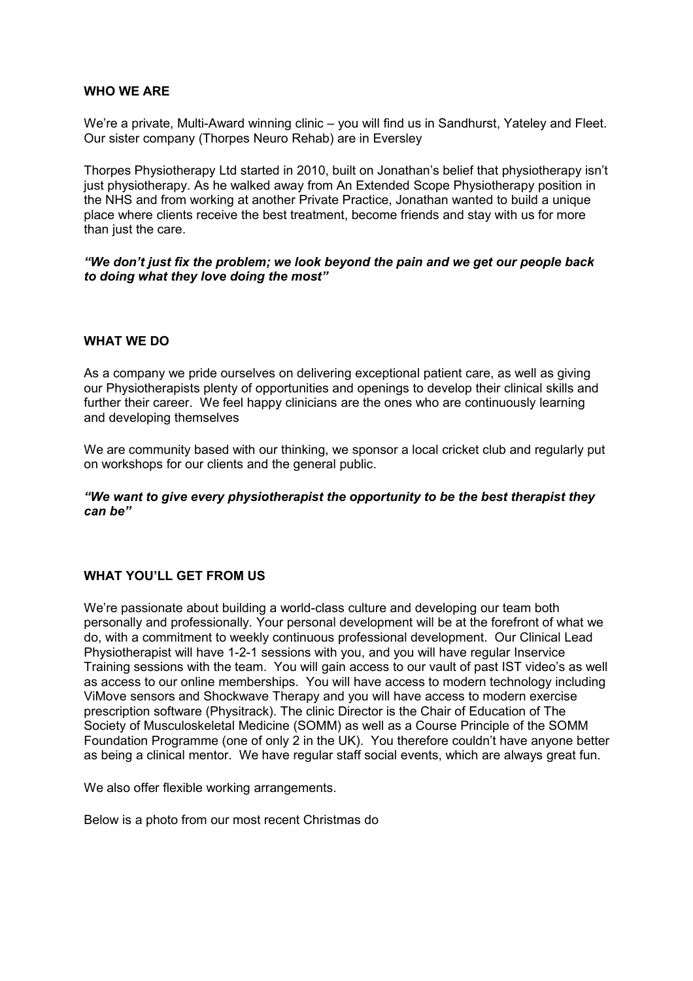## **WHO WE ARE**

We're a private, Multi-Award winning clinic – you will find us in Sandhurst, Yateley and Fleet. Our sister company (Thorpes Neuro Rehab) are in Eversley

Thorpes Physiotherapy Ltd started in 2010, built on Jonathan's belief that physiotherapy isn't just physiotherapy. As he walked away from An Extended Scope Physiotherapy position in the NHS and from working at another Private Practice, Jonathan wanted to build a unique place where clients receive the best treatment, become friends and stay with us for more than just the care.

## *"We don't just fix the problem; we look beyond the pain and we get our people back to doing what they love doing the most"*

## **WHAT WE DO**

As a company we pride ourselves on delivering exceptional patient care, as well as giving our Physiotherapists plenty of opportunities and openings to develop their clinical skills and further their career. We feel happy clinicians are the ones who are continuously learning and developing themselves

We are community based with our thinking, we sponsor a local cricket club and regularly put on workshops for our clients and the general public.

#### *"We want to give every physiotherapist the opportunity to be the best therapist they can be"*

#### **WHAT YOU'LL GET FROM US**

We're passionate about building a world-class culture and developing our team both personally and professionally. Your personal development will be at the forefront of what we do, with a commitment to weekly continuous professional development. Our Clinical Lead Physiotherapist will have 1-2-1 sessions with you, and you will have regular Inservice Training sessions with the team. You will gain access to our vault of past IST video's as well as access to our online memberships. You will have access to modern technology including ViMove sensors and Shockwave Therapy and you will have access to modern exercise prescription software (Physitrack). The clinic Director is the Chair of Education of The Society of Musculoskeletal Medicine (SOMM) as well as a Course Principle of the SOMM Foundation Programme (one of only 2 in the UK). You therefore couldn't have anyone better as being a clinical mentor. We have regular staff social events, which are always great fun.

We also offer flexible working arrangements.

Below is a photo from our most recent Christmas do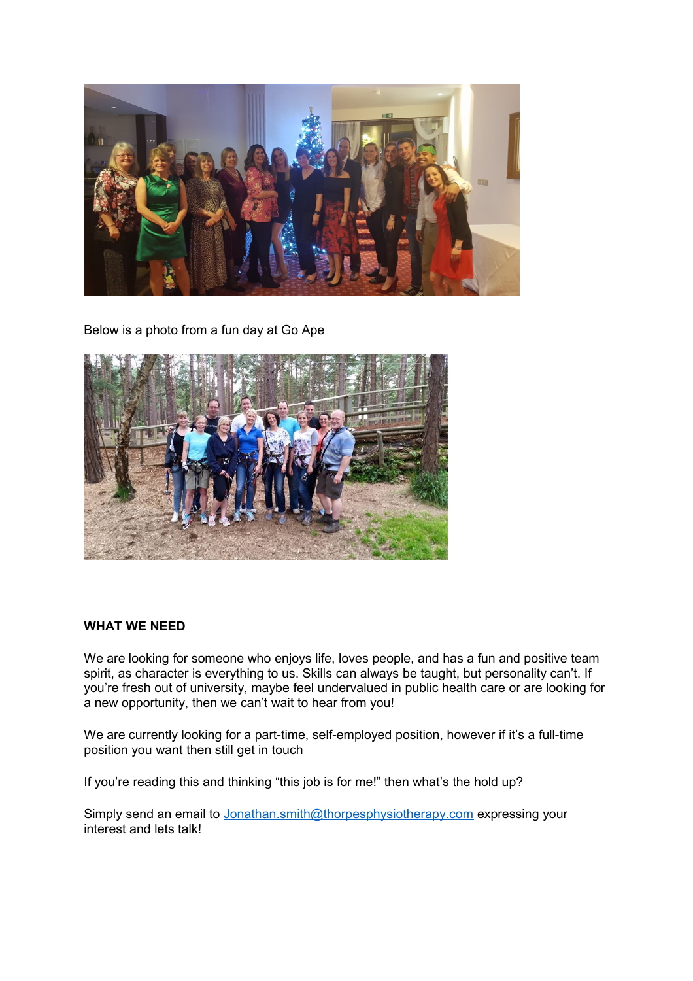

Below is a photo from a fun day at Go Ape



# **WHAT WE NEED**

We are looking for someone who enjoys life, loves people, and has a fun and positive team spirit, as character is everything to us. Skills can always be taught, but personality can't. If you're fresh out of university, maybe feel undervalued in public health care or are looking for a new opportunity, then we can't wait to hear from you!

We are currently looking for a part-time, self-employed position, however if it's a full-time position you want then still get in touch

If you're reading this and thinking "this job is for me!" then what's the hold up?

Simply send an email to [Jonathan.smith@thorpesphysiotherapy.com](mailto:Jonathan.smith@thorpesphysiotherapy.com) expressing your interest and lets talk!